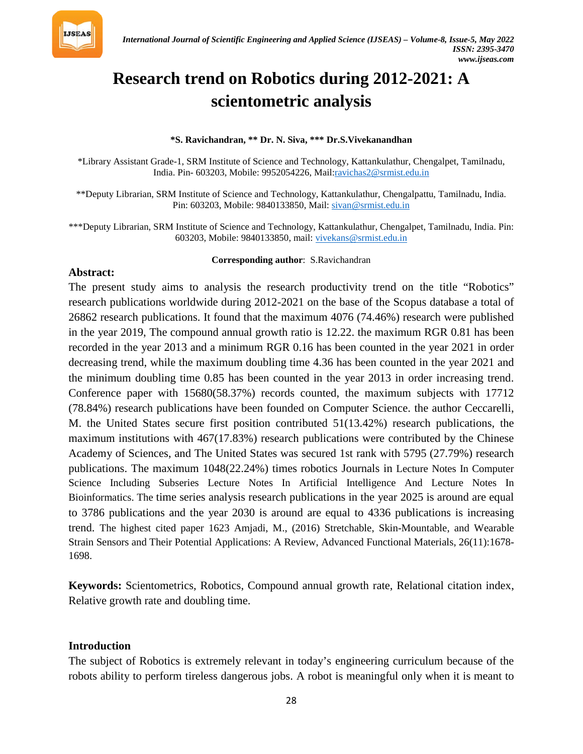

# **Research trend on Robotics during 2012-2021: A scientometric analysis**

#### **\*S. Ravichandran, \*\* Dr. N. Siva, \*\*\* Dr.S.Vivekanandhan**

\*Library Assistant Grade-1, SRM Institute of Science and Technology, Kattankulathur, Chengalpet, Tamilnadu, India. Pin- 603203, Mobile: 9952054226, Mail:*[ravichas2@srmist.edu.in](mailto:ravichas2@srmist.edu.in)* 

\*\*Deputy Librarian, SRM Institute of Science and Technology, Kattankulathur, Chengalpattu, Tamilnadu, India. Pin: 603203, Mobile: 9840133850, Mail: *[sivan@srmist.edu.in](mailto:sivan@srmist.edu.in)* 

\*\*\*Deputy Librarian, SRM Institute of Science and Technology, Kattankulathur, Chengalpet, Tamilnadu, India. Pin: 603203, Mobile: 9840133850, mail: *[vivekans@srmist.edu.in](mailto:vivekans@srmist.edu.in)* 

#### **Corresponding author: S.Ravichandran**

#### **Abstract:**

The present study aims to analysis the research productivity trend on the title "Robotics" research publications worldwide during 2012-2021 on the base of the Scopus database a total of 26862 research publications. It found that the maximum 4076 (74.46%) research were published in the year 2019, The compound annual growth ratio is 12.22. the maximum RGR 0.81 has been recorded in the year 2013 and a minimum RGR 0.16 has been counted in the year 2021 in order decreasing trend, while the maximum doubling time 4.36 has been counted in the year 2021 and the minimum doubling time 0.85 has been counted in the year 2013 in order increasing trend. Conference paper with 15680(58.37%) records counted, the maximum subjects with 17712 (78.84%) research publications have been founded on Computer Science. the author Ceccarelli, M. the United States secure first position contributed 51(13.42%) research publications, the maximum institutions with 467(17.83%) research publications were contributed by the Chinese Academy of Sciences, and The United States was secured 1st rank with 5795 (27.79%) research publications. The maximum 1048(22.24%) times robotics Journals in Lecture Notes In Computer Science Including Subseries Lecture Notes In Artificial Intelligence And Lecture Notes In Bioinformatics. The time series analysis research publications in the year 2025 is around are equal to 3786 publications and the year 2030 is around are equal to 4336 publications is increasing trend. The highest cited paper 1623 Amjadi, M., (2016) Stretchable, Skin-Mountable, and Wearable Strain Sensors and Their Potential Applications: A Review, Advanced Functional Materials, 26(11):1678- 1698.

**Keywords:** Scientometrics, Robotics, Compound annual growth rate, Relational citation index, Relative growth rate and doubling time.

#### **Introduction**

The subject of Robotics is extremely relevant in today's engineering curriculum because of the robots ability to perform tireless dangerous jobs. A robot is meaningful only when it is meant to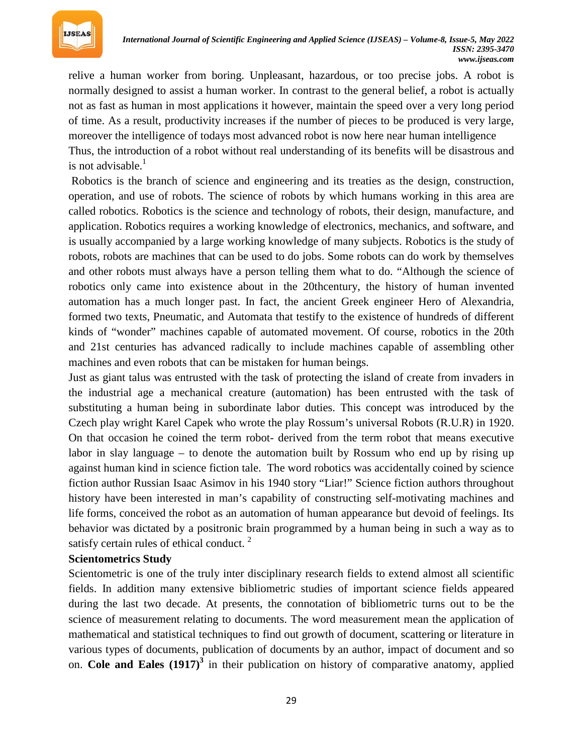

relive a human worker from boring. Unpleasant, hazardous, or too precise jobs. A robot is normally designed to assist a human worker. In contrast to the general belief, a robot is actually not as fast as human in most applications it however, maintain the speed over a very long period of time. As a result, productivity increases if the number of pieces to be produced is very large, moreover the intelligence of todays most advanced robot is now here near human intelligence Thus, the introduction of a robot without real understanding of its benefits will be disastrous and is not advisable.<sup>1</sup>

Robotics is the branch of science and engineering and its treaties as the design, construction, operation, and use of robots. The science of robots by which humans working in this area are called robotics. Robotics is the science and technology of robots, their design, manufacture, and application. Robotics requires a working knowledge of electronics, mechanics, and software, and is usually accompanied by a large working knowledge of many subjects. Robotics is the study of robots, robots are machines that can be used to do jobs. Some robots can do work by themselves and other robots must always have a person telling them what to do. "Although the science of robotics only came into existence about in the 20thcentury, the history of human invented automation has a much longer past. In fact, the ancient Greek engineer Hero of Alexandria, formed two texts, Pneumatic, and Automata that testify to the existence of hundreds of different kinds of "wonder" machines capable of automated movement. Of course, robotics in the 20th and 21st centuries has advanced radically to include machines capable of assembling other machines and even robots that can be mistaken for human beings.

Just as giant talus was entrusted with the task of protecting the island of create from invaders in the industrial age a mechanical creature (automation) has been entrusted with the task of substituting a human being in subordinate labor duties. This concept was introduced by the Czech play wright Karel Capek who wrote the play Rossum's universal Robots (R.U.R) in 1920. On that occasion he coined the term robot- derived from the term robot that means executive labor in slay language – to denote the automation built by Rossum who end up by rising up against human kind in science fiction tale. The word robotics was accidentally coined by science fiction author Russian Isaac Asimov in his 1940 story "Liar!" Science fiction authors throughout history have been interested in man's capability of constructing self-motivating machines and life forms, conceived the robot as an automation of human appearance but devoid of feelings. Its behavior was dictated by a positronic brain programmed by a human being in such a way as to satisfy certain rules of ethical conduct.<sup>2</sup>

#### **Scientometrics Study**

Scientometric is one of the truly inter disciplinary research fields to extend almost all scientific fields. In addition many extensive bibliometric studies of important science fields appeared during the last two decade. At presents, the connotation of bibliometric turns out to be the science of measurement relating to documents. The word measurement mean the application of mathematical and statistical techniques to find out growth of document, scattering or literature in various types of documents, publication of documents by an author, impact of document and so on. Cole and Eales (1917)<sup>3</sup> in their publication on history of comparative anatomy, applied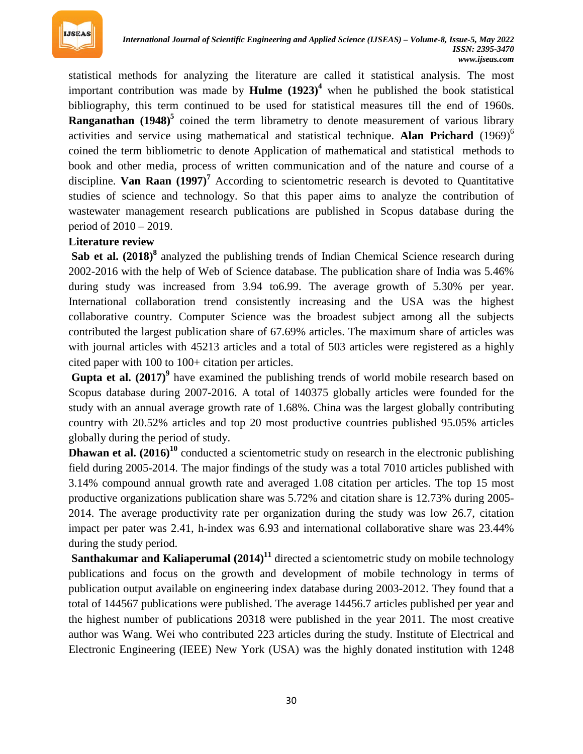

statistical methods for analyzing the literature are called it statistical analysis. The most important contribution was made by **Hulme**  $(1923)^4$  when he published the book statistical bibliography, this term continued to be used for statistical measures till the end of 1960s. **Ranganathan** (1948)<sup>5</sup> coined the term librametry to denote measurement of various library activities and service using mathematical and statistical technique. Alan Prichard (1969)<sup>6</sup> coined the term bibliometric to denote Application of mathematical and statistical methods to book and other media, process of written communication and of the nature and course of a discipline. Van Raan (1997)<sup>7</sup> According to scientometric research is devoted to Quantitative studies of science and technology. So that this paper aims to analyze the contribution of wastewater management research publications are published in Scopus database during the period of 2010 – 2019.

#### **Literature review**

Sab et al. (2018)<sup>8</sup> analyzed the publishing trends of Indian Chemical Science research during 2002-2016 with the help of Web of Science database. The publication share of India was 5.46% during study was increased from 3.94 to6.99. The average growth of 5.30% per year. International collaboration trend consistently increasing and the USA was the highest collaborative country. Computer Science was the broadest subject among all the subjects contributed the largest publication share of 67.69% articles. The maximum share of articles was with journal articles with 45213 articles and a total of 503 articles were registered as a highly cited paper with 100 to 100+ citation per articles.

Gupta et al. (2017)<sup>9</sup> have examined the publishing trends of world mobile research based on Scopus database during 2007-2016. A total of 140375 globally articles were founded for the study with an annual average growth rate of 1.68%. China was the largest globally contributing country with 20.52% articles and top 20 most productive countries published 95.05% articles globally during the period of study.

**Dhawan et al.** (2016)<sup>10</sup> conducted a scientometric study on research in the electronic publishing field during 2005-2014. The major findings of the study was a total 7010 articles published with 3.14% compound annual growth rate and averaged 1.08 citation per articles. The top 15 most productive organizations publication share was 5.72% and citation share is 12.73% during 2005- 2014. The average productivity rate per organization during the study was low 26.7, citation impact per pater was 2.41, h-index was 6.93 and international collaborative share was 23.44% during the study period.

**Santhakumar and Kaliaperumal (2014)<sup>11</sup>** directed a scientometric study on mobile technology publications and focus on the growth and development of mobile technology in terms of publication output available on engineering index database during 2003-2012. They found that a total of 144567 publications were published. The average 14456.7 articles published per year and the highest number of publications 20318 were published in the year 2011. The most creative author was Wang. Wei who contributed 223 articles during the study. Institute of Electrical and Electronic Engineering (IEEE) New York (USA) was the highly donated institution with 1248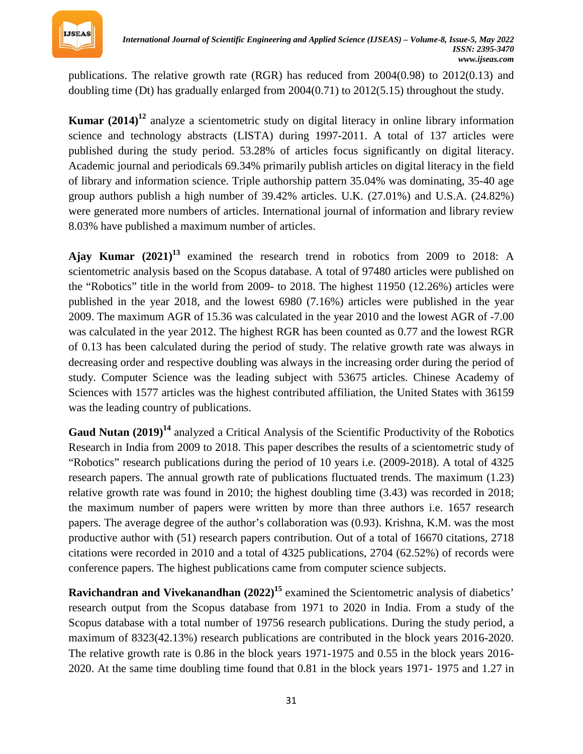

publications. The relative growth rate (RGR) has reduced from 2004(0.98) to 2012(0.13) and doubling time (Dt) has gradually enlarged from 2004(0.71) to 2012(5.15) throughout the study.

**Kumar** (2014)<sup>12</sup> analyze a scientometric study on digital literacy in online library information science and technology abstracts (LISTA) during 1997-2011. A total of 137 articles were published during the study period. 53.28% of articles focus significantly on digital literacy. Academic journal and periodicals 69.34% primarily publish articles on digital literacy in the field of library and information science. Triple authorship pattern 35.04% was dominating, 35-40 age group authors publish a high number of 39.42% articles. U.K. (27.01%) and U.S.A. (24.82%) were generated more numbers of articles. International journal of information and library review 8.03% have published a maximum number of articles.

Ajay Kumar  $(2021)^{13}$  examined the research trend in robotics from 2009 to 2018: A scientometric analysis based on the Scopus database. A total of 97480 articles were published on the "Robotics" title in the world from 2009- to 2018. The highest 11950 (12.26%) articles were published in the year 2018, and the lowest 6980 (7.16%) articles were published in the year 2009. The maximum AGR of 15.36 was calculated in the year 2010 and the lowest AGR of -7.00 was calculated in the year 2012. The highest RGR has been counted as 0.77 and the lowest RGR of 0.13 has been calculated during the period of study. The relative growth rate was always in decreasing order and respective doubling was always in the increasing order during the period of study. Computer Science was the leading subject with 53675 articles. Chinese Academy of Sciences with 1577 articles was the highest contributed affiliation, the United States with 36159 was the leading country of publications.

Gaud Nutan (2019)<sup>14</sup> analyzed a Critical Analysis of the Scientific Productivity of the Robotics Research in India from 2009 to 2018. This paper describes the results of a scientometric study of "Robotics" research publications during the period of 10 years i.e. (2009-2018). A total of 4325 research papers. The annual growth rate of publications fluctuated trends. The maximum (1.23) relative growth rate was found in 2010; the highest doubling time (3.43) was recorded in 2018; the maximum number of papers were written by more than three authors i.e. 1657 research papers. The average degree of the author's collaboration was (0.93). Krishna, K.M. was the most productive author with (51) research papers contribution. Out of a total of 16670 citations, 2718 citations were recorded in 2010 and a total of 4325 publications, 2704 (62.52%) of records were conference papers. The highest publications came from computer science subjects.

**Ravichandran and Vivekanandhan** (2022)<sup>15</sup> examined the Scientometric analysis of diabetics' research output from the Scopus database from 1971 to 2020 in India. From a study of the Scopus database with a total number of 19756 research publications. During the study period, a maximum of 8323(42.13%) research publications are contributed in the block years 2016-2020. The relative growth rate is 0.86 in the block years 1971-1975 and 0.55 in the block years 2016- 2020. At the same time doubling time found that 0.81 in the block years 1971- 1975 and 1.27 in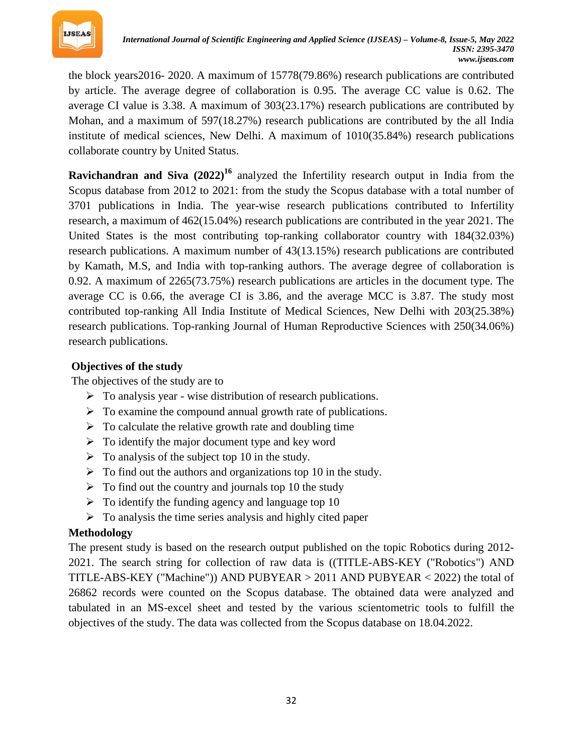

the block years2016- 2020. A maximum of 15778(79.86%) research publications are contributed by article. The average degree of collaboration is 0.95. The average CC value is 0.62. The average CI value is 3.38. A maximum of 303(23.17%) research publications are contributed by Mohan, and a maximum of 597(18.27%) research publications are contributed by the all India institute of medical sciences, New Delhi. A maximum of 1010(35.84%) research publications collaborate country by United Status.

**Ravichandran and Siva** (2022)<sup>16</sup> analyzed the Infertility research output in India from the Scopus database from 2012 to 2021: from the study the Scopus database with a total number of 3701 publications in India. The year-wise research publications contributed to Infertility research, a maximum of 462(15.04%) research publications are contributed in the year 2021. The United States is the most contributing top-ranking collaborator country with 184(32.03%) research publications. A maximum number of 43(13.15%) research publications are contributed by Kamath, M.S, and India with top-ranking authors. The average degree of collaboration is 0.92. A maximum of 2265(73.75%) research publications are articles in the document type. The average CC is 0.66, the average CI is 3.86, and the average MCC is 3.87. The study most contributed top-ranking All India Institute of Medical Sciences, New Delhi with 203(25.38%) research publications. Top-ranking Journal of Human Reproductive Sciences with 250(34.06%) research publications.

## **Objectives of the study**

The objectives of the study are to

- $\triangleright$  To analysis year wise distribution of research publications.
- $\triangleright$  To examine the compound annual growth rate of publications.
- $\triangleright$  To calculate the relative growth rate and doubling time
- $\triangleright$  To identify the major document type and key word
- $\triangleright$  To analysis of the subject top 10 in the study.
- $\triangleright$  To find out the authors and organizations top 10 in the study.
- $\triangleright$  To find out the country and journals top 10 the study
- $\triangleright$  To identify the funding agency and language top 10
- $\triangleright$  To analysis the time series analysis and highly cited paper

# **Methodology**

The present study is based on the research output published on the topic Robotics during 2012- 2021. The search string for collection of raw data is ((TITLE-ABS-KEY ("Robotics") AND TITLE-ABS-KEY ("Machine")) AND PUBYEAR > 2011 AND PUBYEAR < 2022) the total of 26862 records were counted on the Scopus database. The obtained data were analyzed and tabulated in an MS-excel sheet and tested by the various scientometric tools to fulfill the objectives of the study. The data was collected from the Scopus database on 18.04.2022.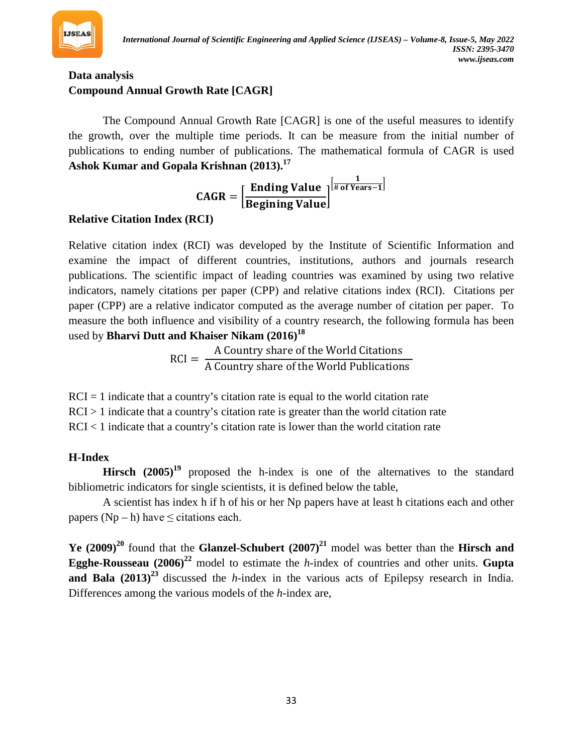

# **Data analysis Compound Annual Growth Rate [CAGR]**

The Compound Annual Growth Rate [CAGR] is one of the useful measures to identify the growth, over the multiple time periods. It can be measure from the initial number of publications to ending number of publications. The mathematical formula of CAGR is used **Ashok Kumar and Gopala Krishnan (2013).***<sup>P</sup>* **17**

> $\text{CAGR} = \left[ \frac{\text{Ending Value}}{\text{Raching Value}} \right]$ Begining Value  $\left[\frac{1}{\text{\# of Years}-1}\right]$

# **Relative Citation Index (RCI)**

Relative citation index (RCI) was developed by the Institute of Scientific Information and examine the impact of different countries, institutions, authors and journals research publications. The scientific impact of leading countries was examined by using two relative indicators, namely citations per paper (CPP) and relative citations index (RCI). Citations per paper (CPP) are a relative indicator computed as the average number of citation per paper. To measure the both influence and visibility of a country research, the following formula has been used by **Bharvi Dutt and Khaiser Nikam (2016)***<sup>P</sup>* **18**

$$
RCI = \frac{A \text{ Country share of the World Citations}}{A \text{ Country share of the World Publications}}
$$

 $RCI = 1$  indicate that a country's citation rate is equal to the world citation rate  $RCI > 1$  indicate that a country's citation rate is greater than the world citation rate  $RCI < 1$  indicate that a country's citation rate is lower than the world citation rate

# **H-Index**

**Hirsch**  $(2005)^{19}$  proposed the h-index is one of the alternatives to the standard bibliometric indicators for single scientists, it is defined below the table,

A scientist has index h if h of his or her Np papers have at least h citations each and other papers ( $Np - h$ ) have  $\leq$  citations each.

**Ye** (2009)<sup>20</sup> found that the **Glanzel-Schubert** (2007)<sup>21</sup> model was better than the **Hirsch and Egghe-Rousseau** (2006)<sup>22</sup> model to estimate the *h*-index of countries and other units. **Gupta and Bala**  $(2013)^{23}$  discussed the *h*-index in the various acts of Epilepsy research in India. Differences among the various models of the *h*-index are,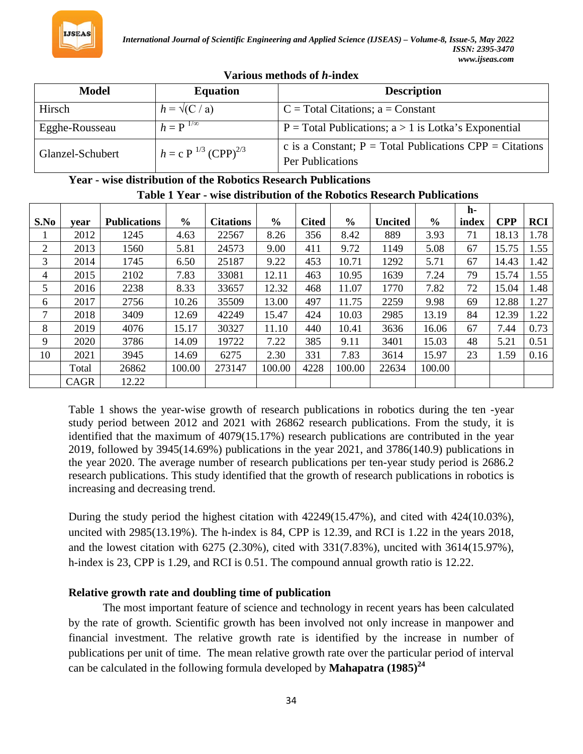

| Various methods of h-index |  |
|----------------------------|--|
|----------------------------|--|

| Model            | <b>Equation</b>             | <b>Description</b>                                                                   |
|------------------|-----------------------------|--------------------------------------------------------------------------------------|
| Hirsch           | $h = \sqrt{(C/a)}$          | $C = Total Citations; a = Constant$                                                  |
| Egghe-Rousseau   | $h = P^{-1/\infty}$         | $P = Total Publications$ ; $a > 1$ is Lotka's Exponential                            |
| Glanzel-Schubert | $h = c P^{1/3} (CPP)^{2/3}$ | c is a Constant; $P = Total Publications$ CPP = Citations<br><b>Per Publications</b> |

#### **Year - wise distribution of the Robotics Research Publications Table 1 Year - wise distribution of the Robotics Research Publications**

|      |             |                     |               |                  |               |              |               |                |               | h-    |            |            |
|------|-------------|---------------------|---------------|------------------|---------------|--------------|---------------|----------------|---------------|-------|------------|------------|
| S.No | vear        | <b>Publications</b> | $\frac{0}{0}$ | <b>Citations</b> | $\frac{6}{6}$ | <b>Cited</b> | $\frac{6}{9}$ | <b>Uncited</b> | $\frac{0}{0}$ | index | <b>CPP</b> | <b>RCI</b> |
|      | 2012        | 1245                | 4.63          | 22567            | 8.26          | 356          | 8.42          | 889            | 3.93          | 71    | 18.13      | 1.78       |
| 2    | 2013        | 1560                | 5.81          | 24573            | 9.00          | 411          | 9.72          | 1149           | 5.08          | 67    | 15.75      | 1.55       |
| 3    | 2014        | 1745                | 6.50          | 25187            | 9.22          | 453          | 10.71         | 1292           | 5.71          | 67    | 14.43      | 1.42       |
| 4    | 2015        | 2102                | 7.83          | 33081            | 12.11         | 463          | 10.95         | 1639           | 7.24          | 79    | 15.74      | 1.55       |
| 5    | 2016        | 2238                | 8.33          | 33657            | 12.32         | 468          | 11.07         | 1770           | 7.82          | 72    | 15.04      | 1.48       |
| 6    | 2017        | 2756                | 10.26         | 35509            | 13.00         | 497          | 11.75         | 2259           | 9.98          | 69    | 12.88      | 1.27       |
| 7    | 2018        | 3409                | 12.69         | 42249            | 15.47         | 424          | 10.03         | 2985           | 13.19         | 84    | 12.39      | 1.22       |
| 8    | 2019        | 4076                | 15.17         | 30327            | 11.10         | 440          | 10.41         | 3636           | 16.06         | 67    | 7.44       | 0.73       |
| 9    | 2020        | 3786                | 14.09         | 19722            | 7.22          | 385          | 9.11          | 3401           | 15.03         | 48    | 5.21       | 0.51       |
| 10   | 2021        | 3945                | 14.69         | 6275             | 2.30          | 331          | 7.83          | 3614           | 15.97         | 23    | 1.59       | 0.16       |
|      | Total       | 26862               | 100.00        | 273147           | 100.00        | 4228         | 100.00        | 22634          | 100.00        |       |            |            |
|      | <b>CAGR</b> | 12.22               |               |                  |               |              |               |                |               |       |            |            |

Table 1 shows the year-wise growth of research publications in robotics during the ten -year study period between 2012 and 2021 with 26862 research publications. From the study, it is identified that the maximum of 4079(15.17%) research publications are contributed in the year 2019, followed by 3945(14.69%) publications in the year 2021, and 3786(140.9) publications in the year 2020. The average number of research publications per ten-year study period is 2686.2 research publications. This study identified that the growth of research publications in robotics is increasing and decreasing trend.

During the study period the highest citation with 42249(15.47%), and cited with 424(10.03%), uncited with 2985(13.19%). The h-index is 84, CPP is 12.39, and RCI is 1.22 in the years 2018, and the lowest citation with 6275 (2.30%), cited with 331(7.83%), uncited with 3614(15.97%), h-index is 23, CPP is 1.29, and RCI is 0.51. The compound annual growth ratio is 12.22.

#### **Relative growth rate and doubling time of publication**

The most important feature of science and technology in recent years has been calculated by the rate of growth. Scientific growth has been involved not only increase in manpower and financial investment. The relative growth rate is identified by the increase in number of publications per unit of time. The mean relative growth rate over the particular period of interval can be calculated in the following formula developed by **Mahapatra (1985)***<sup>P</sup>* **24**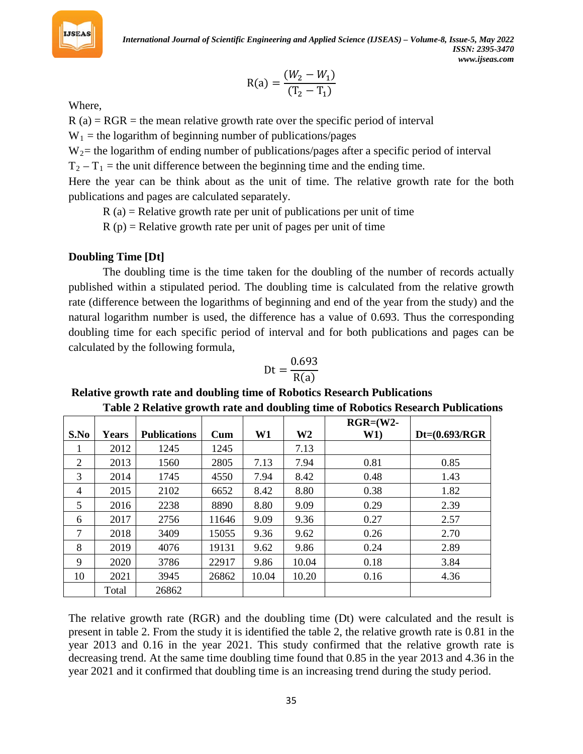

$$
R(a) = \frac{(W_2 - W_1)}{(T_2 - T_1)}
$$

Where,

 $R$  (a) = RGR = the mean relative growth rate over the specific period of interval

 $W_1$  = the logarithm of beginning number of publications/pages

W<sub>2</sub> = the logarithm of ending number of publications/pages after a specific period of interval

 $T_2 - T_1$  = the unit difference between the beginning time and the ending time.

Here the year can be think about as the unit of time. The relative growth rate for the both publications and pages are calculated separately.

 $R(a)$  = Relative growth rate per unit of publications per unit of time

 $R(p)$  = Relative growth rate per unit of pages per unit of time

## **Doubling Time [Dt]**

The doubling time is the time taken for the doubling of the number of records actually published within a stipulated period. The doubling time is calculated from the relative growth rate (difference between the logarithms of beginning and end of the year from the study) and the natural logarithm number is used, the difference has a value of 0.693. Thus the corresponding doubling time for each specific period of interval and for both publications and pages can be calculated by the following formula,

$$
Dt = \frac{0.693}{R(a)}
$$

**Relative growth rate and doubling time of Robotics Research Publications Table 2 Relative growth rate and doubling time of Robotics Research Publications** 

|      |       |                     |              |       |                | $RGR = (W2 -$ |                  |
|------|-------|---------------------|--------------|-------|----------------|---------------|------------------|
| S.No | Years | <b>Publications</b> | $_{\rm Cum}$ | W1    | W <sub>2</sub> | W1)           | $Dt=(0.693/RGR)$ |
|      | 2012  | 1245                | 1245         |       | 7.13           |               |                  |
| 2    | 2013  | 1560                | 2805         | 7.13  | 7.94           | 0.81          | 0.85             |
| 3    | 2014  | 1745                | 4550         | 7.94  | 8.42           | 0.48          | 1.43             |
| 4    | 2015  | 2102                | 6652         | 8.42  | 8.80           | 0.38          | 1.82             |
| 5    | 2016  | 2238                | 8890         | 8.80  | 9.09           | 0.29          | 2.39             |
| 6    | 2017  | 2756                | 11646        | 9.09  | 9.36           | 0.27          | 2.57             |
| 7    | 2018  | 3409                | 15055        | 9.36  | 9.62           | 0.26          | 2.70             |
| 8    | 2019  | 4076                | 19131        | 9.62  | 9.86           | 0.24          | 2.89             |
| 9    | 2020  | 3786                | 22917        | 9.86  | 10.04          | 0.18          | 3.84             |
| 10   | 2021  | 3945                | 26862        | 10.04 | 10.20          | 0.16          | 4.36             |
|      | Total | 26862               |              |       |                |               |                  |

The relative growth rate (RGR) and the doubling time (Dt) were calculated and the result is present in table 2. From the study it is identified the table 2, the relative growth rate is 0.81 in the year 2013 and 0.16 in the year 2021. This study confirmed that the relative growth rate is decreasing trend. At the same time doubling time found that 0.85 in the year 2013 and 4.36 in the year 2021 and it confirmed that doubling time is an increasing trend during the study period.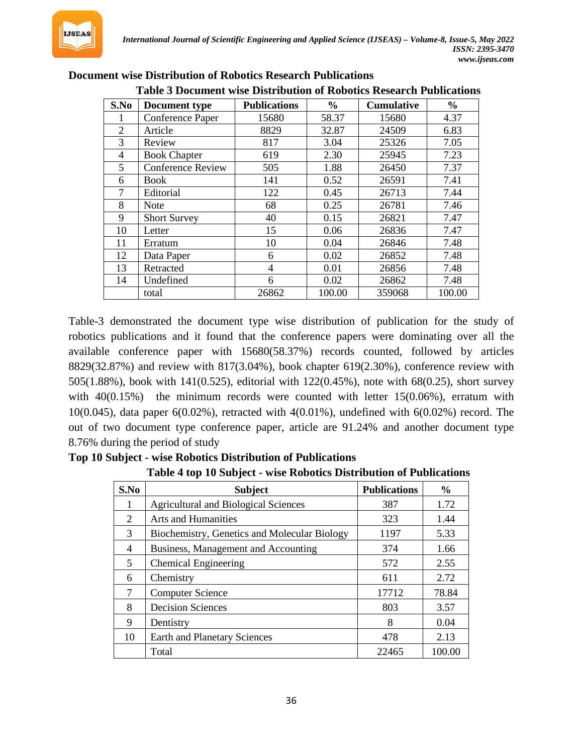

|                | е росишене пре разначении от колонез кезента и изпението |                     |               |                   |               |  |  |  |  |  |
|----------------|----------------------------------------------------------|---------------------|---------------|-------------------|---------------|--|--|--|--|--|
| S.No           | Document type                                            | <b>Publications</b> | $\frac{6}{6}$ | <b>Cumulative</b> | $\frac{6}{6}$ |  |  |  |  |  |
|                | Conference Paper                                         | 15680               | 58.37         | 15680             | 4.37          |  |  |  |  |  |
| $\overline{2}$ | Article                                                  | 8829                | 32.87         | 24509             | 6.83          |  |  |  |  |  |
| 3              | Review                                                   | 817                 | 3.04          | 25326             | 7.05          |  |  |  |  |  |
| 4              | <b>Book Chapter</b>                                      | 619                 | 2.30          | 25945             | 7.23          |  |  |  |  |  |
| 5              | <b>Conference Review</b>                                 | 505                 | 1.88          | 26450             | 7.37          |  |  |  |  |  |
| 6              | Book                                                     | 141                 | 0.52          | 26591             | 7.41          |  |  |  |  |  |
| 7              | Editorial                                                | 122                 | 0.45          | 26713             | 7.44          |  |  |  |  |  |
| 8              | <b>Note</b>                                              | 68                  | 0.25          | 26781             | 7.46          |  |  |  |  |  |
| 9              | <b>Short Survey</b>                                      | 40                  | 0.15          | 26821             | 7.47          |  |  |  |  |  |
| 10             | Letter                                                   | 15                  | 0.06          | 26836             | 7.47          |  |  |  |  |  |
| 11             | Erratum                                                  | 10                  | 0.04          | 26846             | 7.48          |  |  |  |  |  |
| 12             | Data Paper                                               | 6                   | 0.02          | 26852             | 7.48          |  |  |  |  |  |
| 13             | Retracted                                                | 4                   | 0.01          | 26856             | 7.48          |  |  |  |  |  |
| 14             | Undefined                                                | 6                   | 0.02          | 26862             | 7.48          |  |  |  |  |  |
|                | total                                                    | 26862               | 100.00        | 359068            | 100.00        |  |  |  |  |  |

#### **Document wise Distribution of Robotics Research Publications Table 3 Document wise Distribution of Robotics Research Publications**

Table-3 demonstrated the document type wise distribution of publication for the study of robotics publications and it found that the conference papers were dominating over all the available conference paper with 15680(58.37%) records counted, followed by articles 8829(32.87%) and review with 817(3.04%), book chapter 619(2.30%), conference review with 505(1.88%), book with 141(0.525), editorial with 122(0.45%), note with 68(0.25), short survey with 40(0.15%) the minimum records were counted with letter 15(0.06%), erratum with 10(0.045), data paper  $6(0.02\%)$ , retracted with  $4(0.01\%)$ , undefined with  $6(0.02\%)$  record. The out of two document type conference paper, article are 91.24% and another document type 8.76% during the period of study

|  | Top 10 Subject - wise Robotics Distribution of Publications |  |
|--|-------------------------------------------------------------|--|
|--|-------------------------------------------------------------|--|

| S.No | <b>Subject</b>                               | <b>Publications</b> | $\frac{6}{10}$ |
|------|----------------------------------------------|---------------------|----------------|
| Т.   | <b>Agricultural and Biological Sciences</b>  | 387                 | 1.72           |
| 2    | <b>Arts and Humanities</b>                   | 323                 | 1.44           |
| 3    | Biochemistry, Genetics and Molecular Biology | 1197                | 5.33           |
| 4    | Business, Management and Accounting          | 374                 | 1.66           |
| 5    | <b>Chemical Engineering</b>                  | 572                 | 2.55           |
| 6    | Chemistry                                    | 611                 | 2.72           |
| 7    | <b>Computer Science</b>                      | 17712               | 78.84          |
| 8    | <b>Decision Sciences</b>                     | 803                 | 3.57           |
| 9    | Dentistry                                    | 8                   | 0.04           |
| 10   | <b>Earth and Planetary Sciences</b>          | 478                 | 2.13           |
|      | Total                                        | 22465               | 100.00         |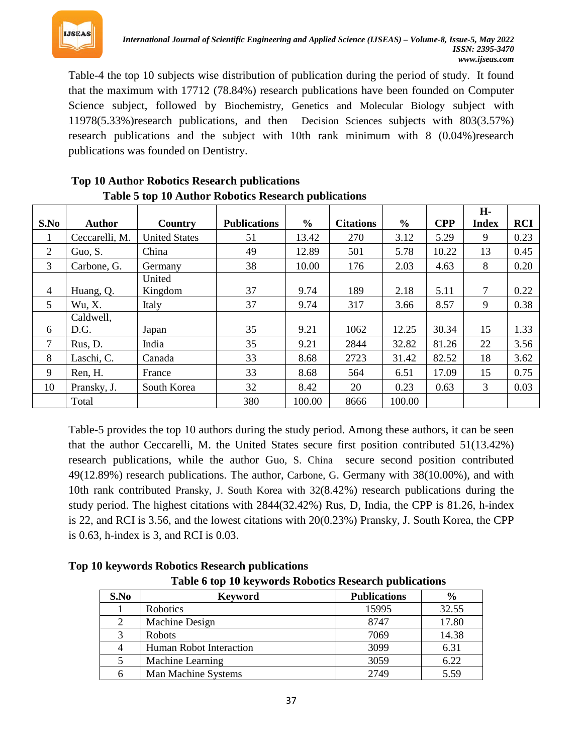

Table-4 the top 10 subjects wise distribution of publication during the period of study. It found that the maximum with 17712 (78.84%) research publications have been founded on Computer Science subject, followed by Biochemistry, Genetics and Molecular Biology subject with 11978(5.33%)research publications, and then Decision Sciences subjects with 803(3.57%) research publications and the subject with 10th rank minimum with 8 (0.04%)research publications was founded on Dentistry.

|      |                |                      |                     |               |                  |               |            | H-           |            |
|------|----------------|----------------------|---------------------|---------------|------------------|---------------|------------|--------------|------------|
| S.No | <b>Author</b>  | Country              | <b>Publications</b> | $\frac{6}{6}$ | <b>Citations</b> | $\frac{6}{6}$ | <b>CPP</b> | <b>Index</b> | <b>RCI</b> |
|      | Ceccarelli, M. | <b>United States</b> | 51                  | 13.42         | 270              | 3.12          | 5.29       | 9            | 0.23       |
| 2    | Guo, S.        | China                | 49                  | 12.89         | 501              | 5.78          | 10.22      | 13           | 0.45       |
| 3    | Carbone, G.    | Germany              | 38                  | 10.00         | 176              | 2.03          | 4.63       | 8            | 0.20       |
|      |                | United               |                     |               |                  |               |            |              |            |
| 4    | Huang, Q.      | Kingdom              | 37                  | 9.74          | 189              | 2.18          | 5.11       | 7            | 0.22       |
| 5    | Wu, X.         | Italy                | 37                  | 9.74          | 317              | 3.66          | 8.57       | 9            | 0.38       |
|      | Caldwell,      |                      |                     |               |                  |               |            |              |            |
| 6    | D.G.           | Japan                | 35                  | 9.21          | 1062             | 12.25         | 30.34      | 15           | 1.33       |
| 7    | Rus, D.        | India                | 35                  | 9.21          | 2844             | 32.82         | 81.26      | 22           | 3.56       |
| 8    | Laschi, C.     | Canada               | 33                  | 8.68          | 2723             | 31.42         | 82.52      | 18           | 3.62       |
| 9    | Ren, H.        | France               | 33                  | 8.68          | 564              | 6.51          | 17.09      | 15           | 0.75       |
| 10   | Pransky, J.    | South Korea          | 32                  | 8.42          | 20               | 0.23          | 0.63       | 3            | 0.03       |
|      | Total          |                      | 380                 | 100.00        | 8666             | 100.00        |            |              |            |

#### **Top 10 Author Robotics Research publications Table 5 top 10 Author Robotics Research publications**

Table-5 provides the top 10 authors during the study period. Among these authors, it can be seen that the author Ceccarelli, M. the United States secure first position contributed 51(13.42%) research publications, while the author Guo, S. China secure second position contributed 49(12.89%) research publications. The author, Carbone, G. Germany with 38(10.00%), and with 10th rank contributed Pransky, J. South Korea with 32(8.42%) research publications during the study period. The highest citations with 2844(32.42%) Rus, D, India, the CPP is 81.26, h-index is 22, and RCI is 3.56, and the lowest citations with 20(0.23%) Pransky, J. South Korea, the CPP is 0.63, h-index is 3, and RCI is 0.03.

**S.No Keyword Publications %** 1 Robotics 15995 32.55 2 | Machine Design | 8747 | 17.80 3 Robots 7069 14.38 4 Human Robot Interaction 1 3099 6.31 5 Machine Learning 3059 6.22 6 Man Machine Systems 2749 5.59

**Top 10 keywords Robotics Research publications**

**Table 6 top 10 keywords Robotics Research publications**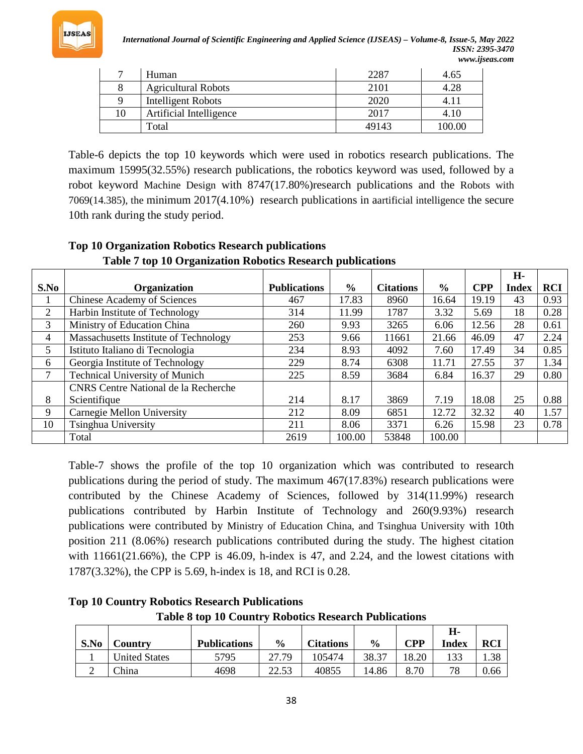

*International Journal of Scientific Engineering and Applied Science (IJSEAS) – Volume-8, Issue-5, May 2022 ISSN: 2395-3470 www.ijseas.com*

| $\overline{ }$ | Human                      | 2287  | 4.65   |
|----------------|----------------------------|-------|--------|
|                | <b>Agricultural Robots</b> | 2101  | 4.28   |
|                | Intelligent Robots         | 2020  | 4.11   |
| 10             | Artificial Intelligence    | 2017  | 4.10   |
|                | Total                      | 49143 | 100.00 |

Table-6 depicts the top 10 keywords which were used in robotics research publications. The maximum 15995(32.55%) research publications, the robotics keyword was used, followed by a robot keyword Machine Design with 8747(17.80%)research publications and the Robots with 7069(14.385), the minimum 2017(4.10%) research publications in aartificial intelligence the secure 10th rank during the study period.

|                |                                             |                     |               |                  |               |            | H-           |            |
|----------------|---------------------------------------------|---------------------|---------------|------------------|---------------|------------|--------------|------------|
| S.No           | <b>Organization</b>                         | <b>Publications</b> | $\frac{6}{9}$ | <b>Citations</b> | $\frac{0}{0}$ | <b>CPP</b> | <b>Index</b> | <b>RCI</b> |
|                | <b>Chinese Academy of Sciences</b>          | 467                 | 17.83         | 8960             | 16.64         | 19.19      | 43           | 0.93       |
| 2              | Harbin Institute of Technology              | 314                 | 11.99         | 1787             | 3.32          | 5.69       | 18           | 0.28       |
| 3              | Ministry of Education China                 | 260                 | 9.93          | 3265             | 6.06          | 12.56      | 28           | 0.61       |
| 4              | Massachusetts Institute of Technology       | 253                 | 9.66          | 11661            | 21.66         | 46.09      | 47           | 2.24       |
| 5              | Istituto Italiano di Tecnologia             | 234                 | 8.93          | 4092             | 7.60          | 17.49      | 34           | 0.85       |
| 6              | Georgia Institute of Technology             | 229                 | 8.74          | 6308             | 11.71         | 27.55      | 37           | 1.34       |
| $\overline{7}$ | <b>Technical University of Munich</b>       | 225                 | 8.59          | 3684             | 6.84          | 16.37      | 29           | 0.80       |
|                | <b>CNRS</b> Centre National de la Recherche |                     |               |                  |               |            |              |            |
| 8              | Scientifique                                | 214                 | 8.17          | 3869             | 7.19          | 18.08      | 25           | 0.88       |
| 9              | Carnegie Mellon University                  | 212                 | 8.09          | 6851             | 12.72         | 32.32      | 40           | 1.57       |
| 10             | Tsinghua University                         | 211                 | 8.06          | 3371             | 6.26          | 15.98      | 23           | 0.78       |
|                | Total                                       | 2619                | 100.00        | 53848            | 100.00        |            |              |            |

# **Top 10 Organization Robotics Research publications Table 7 top 10 Organization Robotics Research publications**

Table-7 shows the profile of the top 10 organization which was contributed to research publications during the period of study. The maximum 467(17.83%) research publications were contributed by the Chinese Academy of Sciences, followed by 314(11.99%) research publications contributed by Harbin Institute of Technology and 260(9.93%) research publications were contributed by Ministry of Education China, and Tsinghua University with 10th position 211 (8.06%) research publications contributed during the study. The highest citation with 11661(21.66%), the CPP is 46.09, h-index is 47, and 2.24, and the lowest citations with 1787(3.32%), the CPP is 5.69, h-index is 18, and RCI is 0.28.

# **Top 10 Country Robotics Research Publications Table 8 top 10 Country Robotics Research Publications**

| S.No | <b>Country</b>       | <b>Publications</b> | $\frac{6}{9}$ | <b>Citations</b> | $\frac{6}{9}$ | CPP   | Н-<br>Index | RCI  |
|------|----------------------|---------------------|---------------|------------------|---------------|-------|-------------|------|
|      | <b>United States</b> | 5795                | 27.79         | 105474           | 38.37         | 18.20 | 133         | 1.38 |
|      | <b>China</b>         | 4698                | 22.53         | 40855            | 14.86         | 8.70  | 78          | 0.66 |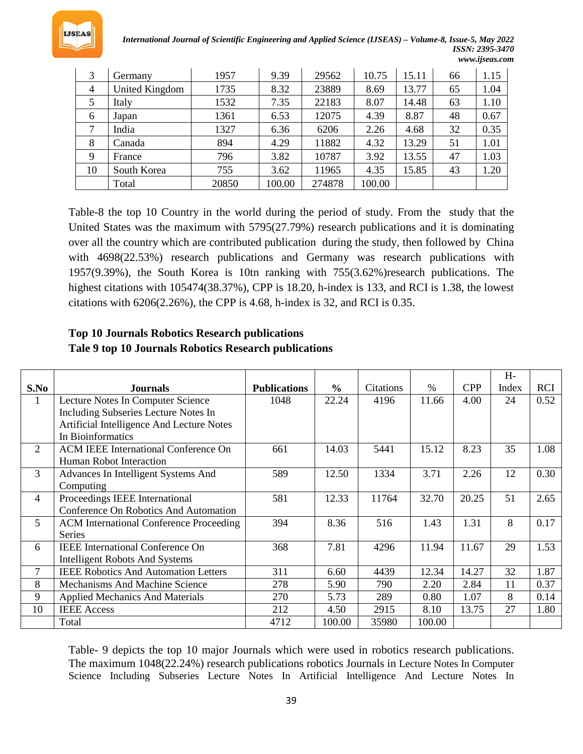

*International Journal of Scientific Engineering and Applied Science (IJSEAS) – Volume-8, Issue-5, May 2022 ISSN: 2395-3470 www.ijseas.com*

| 3              | Germany        | 1957  | 9.39   | 29562  | 10.75  | 15.11 | 66 | 1.15 |
|----------------|----------------|-------|--------|--------|--------|-------|----|------|
| $\overline{4}$ | United Kingdom | 1735  | 8.32   | 23889  | 8.69   | 13.77 | 65 | 1.04 |
| 5              | Italy          | 1532  | 7.35   | 22183  | 8.07   | 14.48 | 63 | 1.10 |
| 6              | Japan          | 1361  | 6.53   | 12075  | 4.39   | 8.87  | 48 | 0.67 |
| 7              | India          | 1327  | 6.36   | 6206   | 2.26   | 4.68  | 32 | 0.35 |
| 8              | Canada         | 894   | 4.29   | 11882  | 4.32   | 13.29 | 51 | 1.01 |
| 9              | France         | 796   | 3.82   | 10787  | 3.92   | 13.55 | 47 | 1.03 |
| 10             | South Korea    | 755   | 3.62   | 11965  | 4.35   | 15.85 | 43 | 1.20 |
|                | Total          | 20850 | 100.00 | 274878 | 100.00 |       |    |      |

Table-8 the top 10 Country in the world during the period of study. From the study that the United States was the maximum with 5795(27.79%) research publications and it is dominating over all the country which are contributed publication during the study, then followed by China with 4698(22.53%) research publications and Germany was research publications with 1957(9.39%), the South Korea is 10tn ranking with 755(3.62%)research publications. The highest citations with 105474(38.37%), CPP is 18.20, h-index is 133, and RCI is 1.38, the lowest citations with 6206(2.26%), the CPP is 4.68, h-index is 32, and RCI is 0.35.

## **Top 10 Journals Robotics Research publications Tale 9 top 10 Journals Robotics Research publications**

|                |                                                |                     |               |                  |        |            | $H -$ |            |
|----------------|------------------------------------------------|---------------------|---------------|------------------|--------|------------|-------|------------|
| S.No           | <b>Journals</b>                                | <b>Publications</b> | $\frac{6}{6}$ | <b>Citations</b> | $\%$   | <b>CPP</b> | Index | <b>RCI</b> |
| 1              | Lecture Notes In Computer Science              | 1048                | 22.24         | 4196             | 11.66  | 4.00       | 24    | 0.52       |
|                | Including Subseries Lecture Notes In           |                     |               |                  |        |            |       |            |
|                | Artificial Intelligence And Lecture Notes      |                     |               |                  |        |            |       |            |
|                | In Bioinformatics                              |                     |               |                  |        |            |       |            |
| $\overline{2}$ | <b>ACM IEEE International Conference On</b>    | 661                 | 14.03         | 5441             | 15.12  | 8.23       | 35    | 1.08       |
|                | Human Robot Interaction                        |                     |               |                  |        |            |       |            |
| 3              | Advances In Intelligent Systems And            | 589                 | 12.50         | 1334             | 3.71   | 2.26       | 12    | 0.30       |
|                | Computing                                      |                     |               |                  |        |            |       |            |
| $\overline{4}$ | Proceedings IEEE International                 | 581                 | 12.33         | 11764            | 32.70  | 20.25      | 51    | 2.65       |
|                | Conference On Robotics And Automation          |                     |               |                  |        |            |       |            |
| 5 <sup>5</sup> | <b>ACM</b> International Conference Proceeding | 394                 | 8.36          | 516              | 1.43   | 1.31       | 8     | 0.17       |
|                | <b>Series</b>                                  |                     |               |                  |        |            |       |            |
| 6              | <b>IEEE</b> International Conference On        | 368                 | 7.81          | 4296             | 11.94  | 11.67      | 29    | 1.53       |
|                | <b>Intelligent Robots And Systems</b>          |                     |               |                  |        |            |       |            |
| 7              | <b>IEEE Robotics And Automation Letters</b>    | 311                 | 6.60          | 4439             | 12.34  | 14.27      | 32    | 1.87       |
| 8              | <b>Mechanisms And Machine Science</b>          | 278                 | 5.90          | 790              | 2.20   | 2.84       | 11    | 0.37       |
| 9              | <b>Applied Mechanics And Materials</b>         | 270                 | 5.73          | 289              | 0.80   | 1.07       | 8     | 0.14       |
| 10             | <b>IEEE Access</b>                             | 212                 | 4.50          | 2915             | 8.10   | 13.75      | 27    | 1.80       |
|                | Total                                          | 4712                | 100.00        | 35980            | 100.00 |            |       |            |

Table- 9 depicts the top 10 major Journals which were used in robotics research publications. The maximum 1048(22.24%) research publications robotics Journals in Lecture Notes In Computer Science Including Subseries Lecture Notes In Artificial Intelligence And Lecture Notes In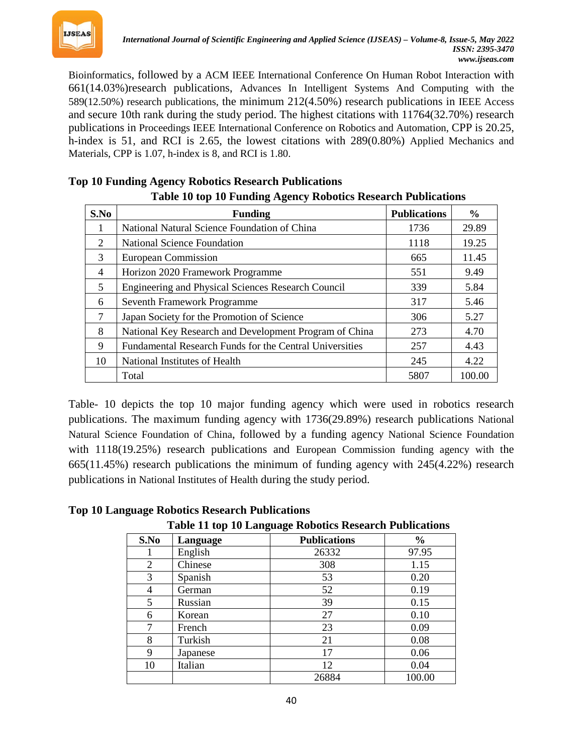

Bioinformatics, followed by a ACM IEEE International Conference On Human Robot Interaction with 661(14.03%)research publications, Advances In Intelligent Systems And Computing with the 589(12.50%) research publications, the minimum 212(4.50%) research publications in IEEE Access and secure 10th rank during the study period. The highest citations with 11764(32.70%) research publications in Proceedings IEEE International Conference on Robotics and Automation, CPP is 20.25, h-index is 51, and RCI is 2.65, the lowest citations with 289(0.80%) Applied Mechanics and Materials, CPP is 1.07, h-index is 8, and RCI is 1.80.

| Tuble To top To I unuing rightly Teopolics Iteseuren I ubileutions |                                                         |                     |               |  |  |  |  |
|--------------------------------------------------------------------|---------------------------------------------------------|---------------------|---------------|--|--|--|--|
| S.No                                                               | <b>Funding</b>                                          | <b>Publications</b> | $\frac{6}{9}$ |  |  |  |  |
|                                                                    | National Natural Science Foundation of China            | 1736                | 29.89         |  |  |  |  |
| 2                                                                  | <b>National Science Foundation</b>                      | 1118                | 19.25         |  |  |  |  |
| 3                                                                  | <b>European Commission</b>                              | 665                 | 11.45         |  |  |  |  |
| $\overline{4}$                                                     | Horizon 2020 Framework Programme                        | 551                 | 9.49          |  |  |  |  |
| 5                                                                  | Engineering and Physical Sciences Research Council      | 339                 | 5.84          |  |  |  |  |
| 6                                                                  | Seventh Framework Programme                             | 317                 | 5.46          |  |  |  |  |
| 7                                                                  | Japan Society for the Promotion of Science              | 306                 | 5.27          |  |  |  |  |
| 8                                                                  | National Key Research and Development Program of China  | 273                 | 4.70          |  |  |  |  |
| 9                                                                  | Fundamental Research Funds for the Central Universities | 257                 | 4.43          |  |  |  |  |
| 10                                                                 | National Institutes of Health                           | 245                 | 4.22          |  |  |  |  |
|                                                                    | Total                                                   | 5807                | 100.00        |  |  |  |  |

#### **Top 10 Funding Agency Robotics Research Publications Table 10 top 10 Funding Agency Robotics Research Publications**

| Table- 10 depicts the top 10 major funding agency which were used in robotics research        |
|-----------------------------------------------------------------------------------------------|
| publications. The maximum funding agency with 1736(29.89%) research publications National     |
| Natural Science Foundation of China, followed by a funding agency National Science Foundation |
| with $1118(19.25%)$ research publications and European Commission funding agency with the     |
| $665(11.45%)$ research publications the minimum of funding agency with $245(4.22%)$ research  |
| publications in National Institutes of Health during the study period.                        |

**Top 10 Language Robotics Research Publications**

**Table 11 top 10 Language Robotics Research Publications**

| S.No | Language | <b>Publications</b> | $\frac{0}{0}$ |
|------|----------|---------------------|---------------|
|      | English  | 26332               | 97.95         |
| 2    | Chinese  | 308                 | 1.15          |
| 3    | Spanish  | 53                  | 0.20          |
| 4    | German   | 52                  | 0.19          |
| 5    | Russian  | 39                  | 0.15          |
| 6    | Korean   | 27                  | 0.10          |
| 7    | French   | 23                  | 0.09          |
| 8    | Turkish  | 21                  | 0.08          |
| 9    | Japanese | 17                  | 0.06          |
| 10   | Italian  | 12                  | 0.04          |
|      |          | 26884               | 100.00        |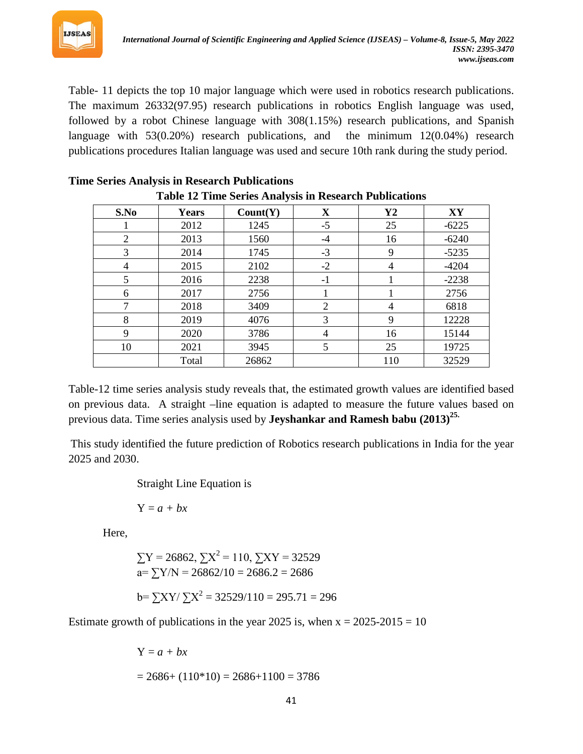

Table- 11 depicts the top 10 major language which were used in robotics research publications. The maximum 26332(97.95) research publications in robotics English language was used, followed by a robot Chinese language with 308(1.15%) research publications, and Spanish language with 53(0.20%) research publications, and the minimum 12(0.04%) research publications procedures Italian language was used and secure 10th rank during the study period.

| $\mathbf{1}_{\mathbf{u}}$ and $\mathbf{1}_{\mathbf{u}}$ and $\mathbf{1}_{\mathbf{u}}$ and $\mathbf{1}_{\mathbf{u}}$ and $\mathbf{1}_{\mathbf{u}}$ and $\mathbf{1}_{\mathbf{u}}$ and $\mathbf{1}_{\mathbf{u}}$<br>S.No<br>$\mathbf X$<br>$\mathbf{Y2}$<br>XY<br>Years<br>Count(Y) |       |       |      |                |         |  |  |  |
|----------------------------------------------------------------------------------------------------------------------------------------------------------------------------------------------------------------------------------------------------------------------------------|-------|-------|------|----------------|---------|--|--|--|
|                                                                                                                                                                                                                                                                                  |       |       |      |                |         |  |  |  |
|                                                                                                                                                                                                                                                                                  | 2012  | 1245  | $-5$ | 25             | $-6225$ |  |  |  |
| 2                                                                                                                                                                                                                                                                                | 2013  | 1560  | $-4$ | 16             | $-6240$ |  |  |  |
| 3                                                                                                                                                                                                                                                                                | 2014  | 1745  | $-3$ | 9              | $-5235$ |  |  |  |
| 4                                                                                                                                                                                                                                                                                | 2015  | 2102  | $-2$ | $\overline{4}$ | $-4204$ |  |  |  |
| 5                                                                                                                                                                                                                                                                                | 2016  | 2238  | $-1$ |                | $-2238$ |  |  |  |
| 6                                                                                                                                                                                                                                                                                | 2017  | 2756  |      |                | 2756    |  |  |  |
| 7                                                                                                                                                                                                                                                                                | 2018  | 3409  | 2    | 4              | 6818    |  |  |  |
| 8                                                                                                                                                                                                                                                                                | 2019  | 4076  | 3    | 9              | 12228   |  |  |  |
| 9                                                                                                                                                                                                                                                                                | 2020  | 3786  | 4    | 16             | 15144   |  |  |  |
| 10                                                                                                                                                                                                                                                                               | 2021  | 3945  | 5    | 25             | 19725   |  |  |  |
|                                                                                                                                                                                                                                                                                  | Total | 26862 |      | 110            | 32529   |  |  |  |

#### **Time Series Analysis in Research Publications Table 12 Time Series Analysis in Research Publications**

Total | 26862 | 110 | 32529 Table-12 time series analysis study reveals that, the estimated growth values are identified based on previous data. A straight –line equation is adapted to measure the future values based on

previous data. Time series analysis used by **Jeyshankar and Ramesh babu (2013)***<sup>P</sup>* **25.** 

This study identified the future prediction of Robotics research publications in India for the year 2025 and 2030.

Straight Line Equation is

 $Y = a + bx$ 

Here,

 $\sum Y = 26862$ ,  $\sum X^2 = 110$ ,  $\sum XY = 32529$  $a= \sum Y/N = 26862/10 = 2686.2 = 2686$  $b = \sum XY / \sum X^2 = 32529/110 = 295.71 = 296$ 

Estimate growth of publications in the year 2025 is, when  $x = 2025-2015 = 10$ 

$$
Y = a + bx
$$
  
= 2686+ (110\*10) = 2686+1100 = 3786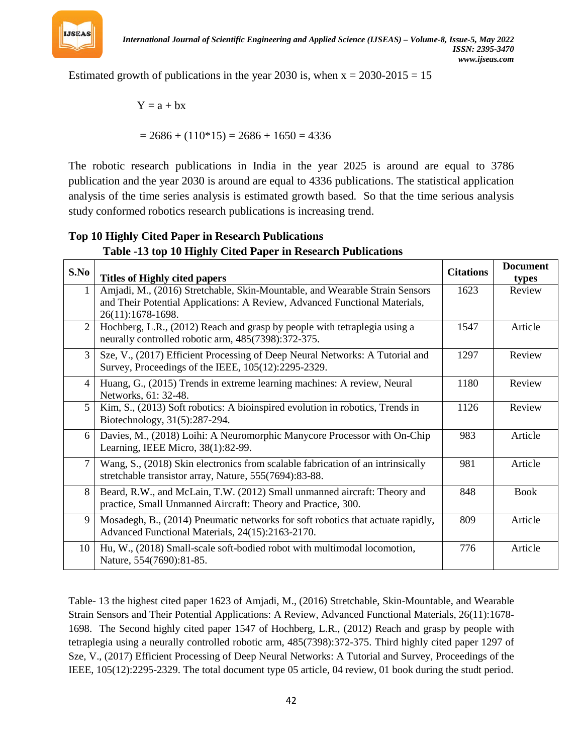

Estimated growth of publications in the year 2030 is, when  $x = 2030-2015 = 15$ 

$$
Y=a+bx
$$

 $= 2686 + (110*15) = 2686 + 1650 = 4336$ 

The robotic research publications in India in the year 2025 is around are equal to 3786 publication and the year 2030 is around are equal to 4336 publications. The statistical application analysis of the time series analysis is estimated growth based. So that the time serious analysis study conformed robotics research publications is increasing trend.

#### **Top 10 Highly Cited Paper in Research Publications Table -13 top 10 Highly Cited Paper in Research Publications**

| S.No           |                                                                                                                                     | <b>Citations</b> | <b>Document</b> |
|----------------|-------------------------------------------------------------------------------------------------------------------------------------|------------------|-----------------|
|                | <b>Titles of Highly cited papers</b>                                                                                                |                  | types           |
|                | Amjadi, M., (2016) Stretchable, Skin-Mountable, and Wearable Strain Sensors                                                         | 1623             | Review          |
|                | and Their Potential Applications: A Review, Advanced Functional Materials,                                                          |                  |                 |
|                | 26(11):1678-1698.                                                                                                                   |                  |                 |
| $\overline{2}$ | Hochberg, L.R., (2012) Reach and grasp by people with tetraplegia using a                                                           | 1547             | Article         |
|                | neurally controlled robotic arm, 485(7398):372-375.                                                                                 |                  |                 |
| 3              | Sze, V., (2017) Efficient Processing of Deep Neural Networks: A Tutorial and                                                        | 1297             | Review          |
|                | Survey, Proceedings of the IEEE, 105(12):2295-2329.                                                                                 |                  |                 |
| 4              | Huang, G., (2015) Trends in extreme learning machines: A review, Neural                                                             | 1180             | Review          |
|                | Networks, 61: 32-48.                                                                                                                |                  |                 |
| 5              | Kim, S., (2013) Soft robotics: A bioinspired evolution in robotics, Trends in                                                       | 1126             | Review          |
|                | Biotechnology, 31(5):287-294.                                                                                                       |                  |                 |
| 6              | Davies, M., (2018) Loihi: A Neuromorphic Manycore Processor with On-Chip                                                            | 983              | Article         |
|                | Learning, IEEE Micro, 38(1):82-99.                                                                                                  |                  |                 |
| 7              | Wang, S., (2018) Skin electronics from scalable fabrication of an intrinsically                                                     | 981              | Article         |
|                | stretchable transistor array, Nature, 555(7694):83-88.                                                                              |                  |                 |
| 8              | Beard, R.W., and McLain, T.W. (2012) Small unmanned aircraft: Theory and                                                            | 848              | <b>Book</b>     |
|                | practice, Small Unmanned Aircraft: Theory and Practice, 300.                                                                        |                  |                 |
| 9              |                                                                                                                                     | 809              | Article         |
|                | Mosadegh, B., (2014) Pneumatic networks for soft robotics that actuate rapidly,<br>Advanced Functional Materials, 24(15):2163-2170. |                  |                 |
|                |                                                                                                                                     |                  |                 |
| 10             | Hu, W., (2018) Small-scale soft-bodied robot with multimodal locomotion,                                                            | 776              | Article         |
|                | Nature, 554(7690):81-85.                                                                                                            |                  |                 |

Table- 13 the highest cited paper 1623 of Amjadi, M., (2016) Stretchable, Skin-Mountable, and Wearable Strain Sensors and Their Potential Applications: A Review, Advanced Functional Materials, 26(11):1678- 1698. The Second highly cited paper 1547 of Hochberg, L.R., (2012) Reach and grasp by people with tetraplegia using a neurally controlled robotic arm, 485(7398):372-375. Third highly cited paper 1297 of Sze, V., (2017) Efficient Processing of Deep Neural Networks: A Tutorial and Survey, Proceedings of the IEEE, 105(12):2295-2329. The total document type 05 article, 04 review, 01 book during the studt period.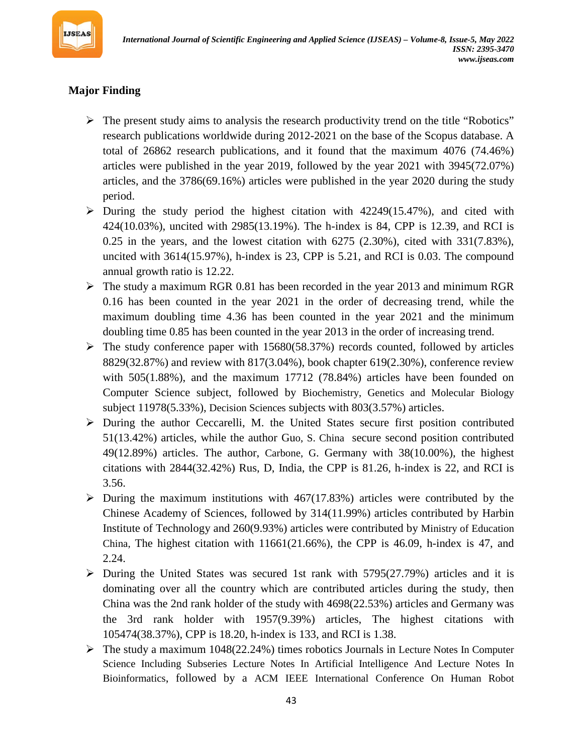

# **Major Finding**

- $\triangleright$  The present study aims to analysis the research productivity trend on the title "Robotics" research publications worldwide during 2012-2021 on the base of the Scopus database. A total of 26862 research publications, and it found that the maximum 4076 (74.46%) articles were published in the year 2019, followed by the year 2021 with 3945(72.07%) articles, and the 3786(69.16%) articles were published in the year 2020 during the study period.
- $\triangleright$  During the study period the highest citation with 42249(15.47%), and cited with 424(10.03%), uncited with 2985(13.19%). The h-index is 84, CPP is 12.39, and RCI is 0.25 in the years, and the lowest citation with 6275 (2.30%), cited with 331(7.83%), uncited with 3614(15.97%), h-index is 23, CPP is 5.21, and RCI is 0.03. The compound annual growth ratio is 12.22.
- $\triangleright$  The study a maximum RGR 0.81 has been recorded in the year 2013 and minimum RGR 0.16 has been counted in the year 2021 in the order of decreasing trend, while the maximum doubling time 4.36 has been counted in the year 2021 and the minimum doubling time 0.85 has been counted in the year 2013 in the order of increasing trend.
- $\triangleright$  The study conference paper with 15680(58.37%) records counted, followed by articles 8829(32.87%) and review with 817(3.04%), book chapter 619(2.30%), conference review with 505(1.88%), and the maximum 17712 (78.84%) articles have been founded on Computer Science subject, followed by Biochemistry, Genetics and Molecular Biology subject 11978(5.33%), Decision Sciences subjects with 803(3.57%) articles.
- $\triangleright$  During the author Ceccarelli, M. the United States secure first position contributed 51(13.42%) articles, while the author Guo, S. China secure second position contributed 49(12.89%) articles. The author, Carbone, G. Germany with 38(10.00%), the highest citations with 2844(32.42%) Rus, D, India, the CPP is 81.26, h-index is 22, and RCI is 3.56.
- $\triangleright$  During the maximum institutions with 467(17.83%) articles were contributed by the Chinese Academy of Sciences, followed by 314(11.99%) articles contributed by Harbin Institute of Technology and 260(9.93%) articles were contributed by Ministry of Education China, The highest citation with  $11661(21.66%)$ , the CPP is 46.09, h-index is 47, and 2.24.
- $\triangleright$  During the United States was secured 1st rank with 5795(27.79%) articles and it is dominating over all the country which are contributed articles during the study, then China was the 2nd rank holder of the study with 4698(22.53%) articles and Germany was the 3rd rank holder with 1957(9.39%) articles, The highest citations with 105474(38.37%), CPP is 18.20, h-index is 133, and RCI is 1.38.
- $\triangleright$  The study a maximum 1048(22.24%) times robotics Journals in Lecture Notes In Computer Science Including Subseries Lecture Notes In Artificial Intelligence And Lecture Notes In Bioinformatics, followed by a ACM IEEE International Conference On Human Robot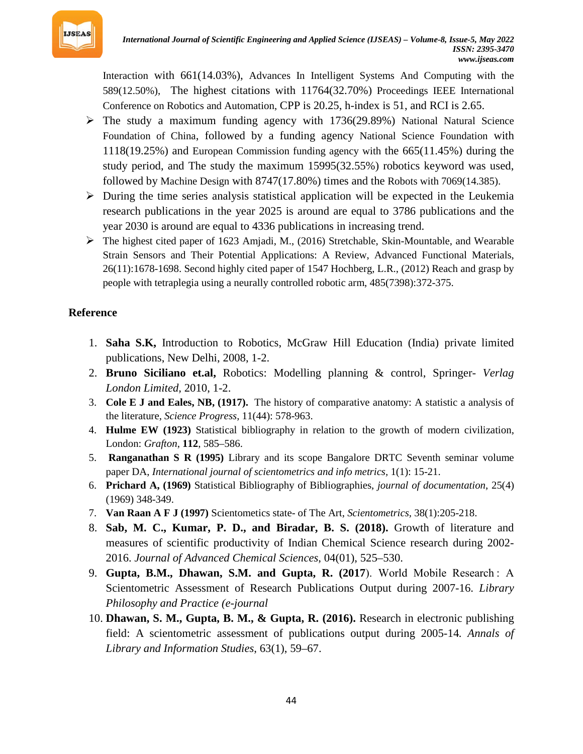

Interaction with 661(14.03%), Advances In Intelligent Systems And Computing with the 589(12.50%), The highest citations with 11764(32.70%) Proceedings IEEE International Conference on Robotics and Automation, CPP is 20.25, h-index is 51, and RCI is 2.65.

- $\triangleright$  The study a maximum funding agency with 1736(29.89%) National Natural Science Foundation of China, followed by a funding agency National Science Foundation with 1118(19.25%) and European Commission funding agency with the 665(11.45%) during the study period, and The study the maximum 15995(32.55%) robotics keyword was used, followed by Machine Design with 8747(17.80%) times and the Robots with 7069(14.385).
- $\triangleright$  During the time series analysis statistical application will be expected in the Leukemia research publications in the year 2025 is around are equal to 3786 publications and the year 2030 is around are equal to 4336 publications in increasing trend.
- The highest cited paper of 1623 Amjadi, M., (2016) Stretchable, Skin-Mountable, and Wearable Strain Sensors and Their Potential Applications: A Review, Advanced Functional Materials, 26(11):1678-1698. Second highly cited paper of 1547 Hochberg, L.R., (2012) Reach and grasp by people with tetraplegia using a neurally controlled robotic arm, 485(7398):372-375.

## **Reference**

- 1. **Saha S.K,** Introduction to Robotics, McGraw Hill Education (India) private limited publications, New Delhi, 2008, 1-2.
- 2. **Bruno Siciliano et.al,** Robotics: Modelling planning & control, Springer- *Verlag London Limited,* 2010, 1-2.
- 3. **Cole E J and Eales, NB, (1917).** The history of comparative anatomy: A statistic a analysis of the literature, *Science Progress*, 11(44): 578-963.
- 4. **Hulme EW (1923)** Statistical bibliography in relation to the growth of modern civilization, London: *Grafton*, **112**, 585–586.
- 5. **Ranganathan S R (1995)** Library and its scope Bangalore DRTC Seventh seminar volume paper DA, *International journal of scientometrics and info metrics,* 1(1): 15-21.
- 6. **Prichard A, (1969)** Statistical Bibliography of Bibliographies, *journal of documentation*, 25(4) (1969) 348-349.
- 7. **Van Raan A F J (1997)** Scientometics state- of The Art, *Scientometrics,* 38(1):205-218.
- 8. **Sab, M. C., Kumar, P. D., and Biradar, B. S. (2018).** Growth of literature and measures of scientific productivity of Indian Chemical Science research during 2002- 2016. *Journal of Advanced Chemical Sciences*, 04(01), 525–530.
- 9. **Gupta, B.M., Dhawan, S.M. and Gupta, R. (2017**). World Mobile Research : A Scientometric Assessment of Research Publications Output during 2007-16. *Library Philosophy and Practice (e-journal*
- 10. **Dhawan, S. M., Gupta, B. M., & Gupta, R. (2016).** Research in electronic publishing field: A scientometric assessment of publications output during 2005-14*. Annals of Library and Information Studies*, 63(1), 59–67.